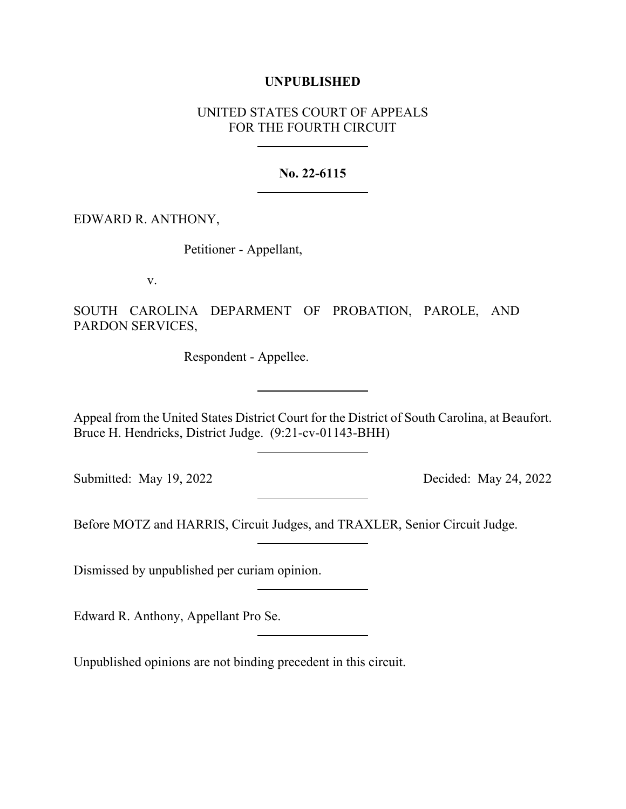## **UNPUBLISHED**

## UNITED STATES COURT OF APPEALS FOR THE FOURTH CIRCUIT

## **No. 22-6115**

EDWARD R. ANTHONY,

Petitioner - Appellant,

v.

SOUTH CAROLINA DEPARMENT OF PROBATION, PAROLE, AND PARDON SERVICES,

Respondent - Appellee.

Appeal from the United States District Court for the District of South Carolina, at Beaufort. Bruce H. Hendricks, District Judge. (9:21-cv-01143-BHH)

Submitted: May 19, 2022 Decided: May 24, 2022

Before MOTZ and HARRIS, Circuit Judges, and TRAXLER, Senior Circuit Judge.

Dismissed by unpublished per curiam opinion.

Edward R. Anthony, Appellant Pro Se.

Unpublished opinions are not binding precedent in this circuit.